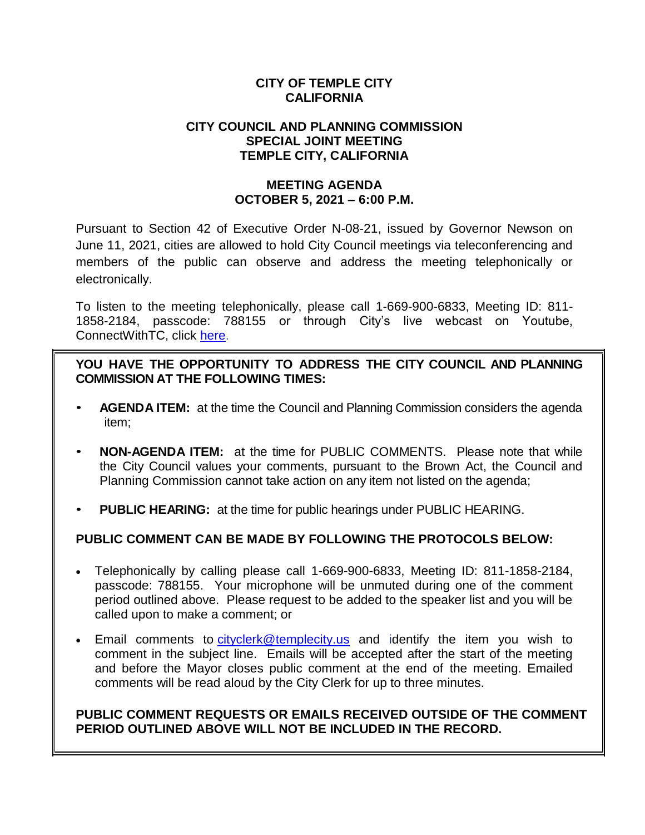### **CITY OF TEMPLE CITY CALIFORNIA**

#### **CITY COUNCIL AND PLANNING COMMISSION SPECIAL JOINT MEETING TEMPLE CITY, CALIFORNIA**

#### **MEETING AGENDA OCTOBER 5, 2021 – 6:00 P.M.**

Pursuant to Section 42 of Executive Order N-08-21, issued by Governor Newson on June 11, 2021, cities are allowed to hold City Council meetings via teleconferencing and members of the public can observe and address the meeting telephonically or electronically.

To listen to the meeting telephonically, please call 1-669-900-6833, Meeting ID: 811- 1858-2184, passcode: 788155 or through City's live webcast on Youtube, ConnectWithTC, click [here.](https://www.ci.temple-city.ca.us/516/Meeting-Webcast)

**YOU HAVE THE OPPORTUNITY TO ADDRESS THE CITY COUNCIL AND PLANNING COMMISSION AT THE FOLLOWING TIMES:**

- **AGENDA ITEM:** at the time the Council and Planning Commission considers the agenda item;
- **NON-AGENDA ITEM:** at the time for PUBLIC COMMENTS. Please note that while the City Council values your comments, pursuant to the Brown Act, the Council and Planning Commission cannot take action on any item not listed on the agenda;
- **PUBLIC HEARING:** at the time for public hearings under PUBLIC HEARING.

# **PUBLIC COMMENT CAN BE MADE BY FOLLOWING THE PROTOCOLS BELOW:**

- Telephonically by calling please call 1-669-900-6833, Meeting ID: 811-1858-2184, passcode: 788155. Your microphone will be unmuted during one of the comment period outlined above. Please request to be added to the speaker list and you will be called upon to make a comment; or
- Email comments to [cityclerk@templecity.us](mailto:cityclerk@templecity.us) and identify the item you wish to comment in the subject line. Emails will be accepted after the start of the meeting and before the Mayor closes public comment at the end of the meeting. Emailed comments will be read aloud by the City Clerk for up to three minutes.

### **PUBLIC COMMENT REQUESTS OR EMAILS RECEIVED OUTSIDE OF THE COMMENT PERIOD OUTLINED ABOVE WILL NOT BE INCLUDED IN THE RECORD.**